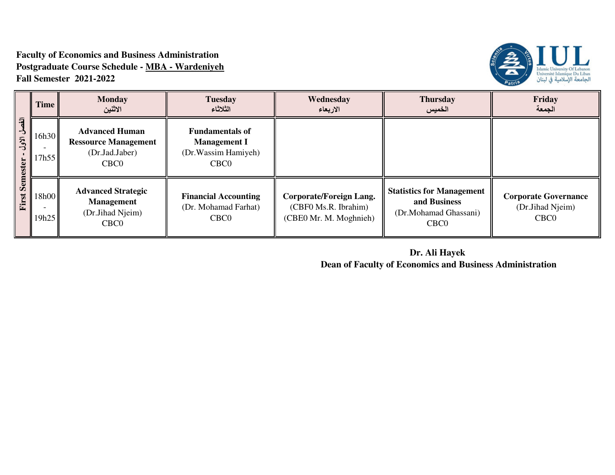### **Faculty of Economics and Business Administration Postgraduate Course Schedule - MBA - WardeniyehFall Semester 2021-2022**



|                                                             | Time           | <b>Monday</b><br>الاثنين                                                                   | <b>Tuesday</b><br>الثلاثاء                                                                | Wednesday<br>الاربعاء                                                     | <b>Thursday</b><br>الخميس                                                                     | Friday<br>الجمعة                                                    |
|-------------------------------------------------------------|----------------|--------------------------------------------------------------------------------------------|-------------------------------------------------------------------------------------------|---------------------------------------------------------------------------|-----------------------------------------------------------------------------------------------|---------------------------------------------------------------------|
| $\overline{a}$<br>$\rightarrow$<br>الأول<br><b>Semester</b> | 16h30<br>7h55  | <b>Advanced Human</b><br><b>Ressource Management</b><br>(Dr.Jad.Jaber)<br>CBC <sub>0</sub> | <b>Fundamentals of</b><br><b>Management I</b><br>(Dr. Wassim Hamiyeh)<br>CBC <sub>0</sub> |                                                                           |                                                                                               |                                                                     |
| First                                                       | 18h00<br>19h25 | <b>Advanced Strategic</b><br><b>Management</b><br>(Dr.Jihad Njeim)<br>CBC <sub>0</sub>     | <b>Financial Accounting</b><br>(Dr. Mohamad Farhat)<br>CBC <sub>0</sub>                   | Corporate/Foreign Lang.<br>(CBF0 Ms.R. Ibrahim)<br>(CBE0 Mr. M. Moghnieh) | <b>Statistics for Management</b><br>and Business<br>(Dr.Mohamad Ghassani)<br>CBC <sub>0</sub> | <b>Corporate Governance</b><br>(Dr.Jihad Njeim)<br>CBC <sub>0</sub> |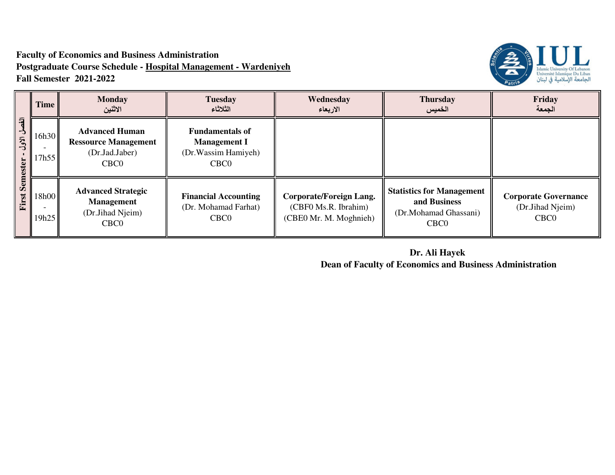# **Faculty of Economics and Business Administration Postgraduate Course Schedule - Hospital Management - WardeniyehFall Semester 2021-2022**



| 刁<br>$\mathbf{\dot{5}}$<br>الأول<br><b>Semester</b> | Time           | <b>Monday</b><br>الاثنين                                                                   | <b>Tuesday</b><br>الثلاثاء                                                                | Wednesday<br>الاربعاء                                                     | <b>Thursday</b><br>الخميس                                                                     | Friday<br>الجمعة                                                    |
|-----------------------------------------------------|----------------|--------------------------------------------------------------------------------------------|-------------------------------------------------------------------------------------------|---------------------------------------------------------------------------|-----------------------------------------------------------------------------------------------|---------------------------------------------------------------------|
|                                                     | 16h30<br>17h55 | <b>Advanced Human</b><br><b>Ressource Management</b><br>(Dr.Jad.Jaber)<br>CBC <sub>0</sub> | <b>Fundamentals of</b><br><b>Management I</b><br>(Dr. Wassim Hamiyeh)<br>CBC <sub>0</sub> |                                                                           |                                                                                               |                                                                     |
| First                                               | 18h00<br>19h25 | <b>Advanced Strategic</b><br><b>Management</b><br>(Dr.Jihad Njeim)<br>CBC <sub>0</sub>     | <b>Financial Accounting</b><br>(Dr. Mohamad Farhat)<br>CBC <sub>0</sub>                   | Corporate/Foreign Lang.<br>(CBF0 Ms.R. Ibrahim)<br>(CBE0 Mr. M. Moghnieh) | <b>Statistics for Management</b><br>and Business<br>(Dr.Mohamad Ghassani)<br>CBC <sub>0</sub> | <b>Corporate Governance</b><br>(Dr.Jihad Njeim)<br>CBC <sub>0</sub> |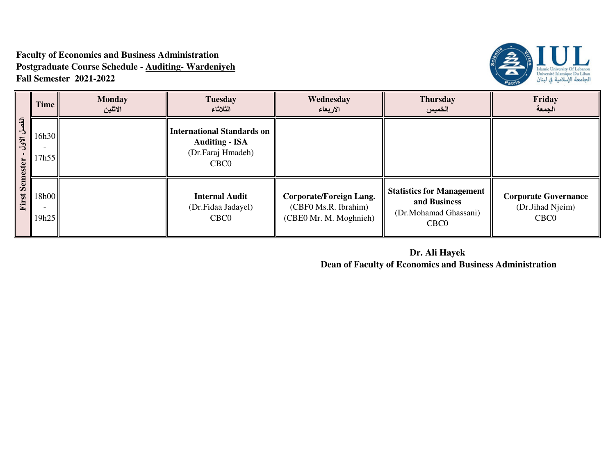# **Faculty of Economics and Business Administration Postgraduate Course Schedule - Auditing- WardeniyehFall Semester 2021-2022**



|                                     | Time           | <b>Monday</b><br>الاثنين | <b>Tuesday</b><br>الثلاثاء                                                                          | Wednesday<br>الاربعاء                                                            | <b>Thursday</b><br>الخميس                                                                     | Friday<br>الجمعة                                                    |
|-------------------------------------|----------------|--------------------------|-----------------------------------------------------------------------------------------------------|----------------------------------------------------------------------------------|-----------------------------------------------------------------------------------------------|---------------------------------------------------------------------|
| 刁<br>-3<br>ألأول<br><b>Semester</b> | 16h30<br>17h55 |                          | <b>International Standards on</b><br><b>Auditing - ISA</b><br>(Dr.Faraj Hmadeh)<br>CBC <sub>0</sub> |                                                                                  |                                                                                               |                                                                     |
| First                               | 18h00<br>19h25 |                          | <b>Internal Audit</b><br>(Dr.Fidaa Jadayel)<br>CBC <sub>0</sub>                                     | <b>Corporate/Foreign Lang.</b><br>(CBF0 Ms.R. Ibrahim)<br>(CBE0 Mr. M. Moghnieh) | <b>Statistics for Management</b><br>and Business<br>(Dr.Mohamad Ghassani)<br>CBC <sub>0</sub> | <b>Corporate Governance</b><br>(Dr.Jihad Njeim)<br>CBC <sub>0</sub> |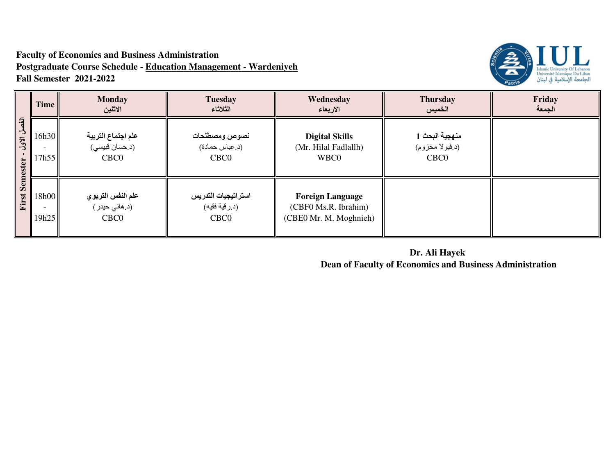## **Faculty of Economics and Business Administration Postgraduate Course Schedule - Education Management - WardeniyehFall Semester 2021-2022**



|                                                             | Time           | <b>Monday</b><br>الاثنين                                 | <b>Tuesday</b><br>الثلاثاء                               | Wednesday<br>الاربعاء                                                     | <b>Thursday</b><br>الخميس                             | Friday<br>الجمعة |
|-------------------------------------------------------------|----------------|----------------------------------------------------------|----------------------------------------------------------|---------------------------------------------------------------------------|-------------------------------------------------------|------------------|
| $\overline{a}$<br>$\mathcal{A}$<br>ألأول<br><b>Semester</b> | 16h30<br>17h55 | علم اجتماع التربية<br>(د.حسان قبیسی)<br>CBC <sub>0</sub> | نصوص ومصطلحات<br>(د.عباس حمادة)<br>CBC <sub>0</sub>      | <b>Digital Skills</b><br>(Mr. Hilal Fadlallh)<br>WBC0                     | منهجية البحث 1<br>(د فيولا مخزوم)<br>CBC <sub>0</sub> |                  |
| First                                                       | 18h00<br>19h25 | علم النفس التربوي<br>(د.هانی حیدر)<br>CBC <sub>0</sub>   | استراتيجيات التدريس<br>(د.رقية فقيه)<br>CBC <sub>0</sub> | <b>Foreign Language</b><br>(CBF0 Ms.R. Ibrahim)<br>(CBE0 Mr. M. Moghnieh) |                                                       |                  |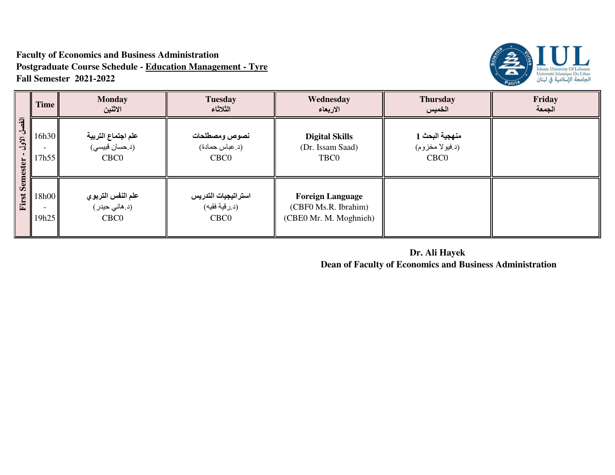## **Faculty of Economics and Business Administration Postgraduate Course Schedule - Education Management - TyreFall Semester 2021-2022**



|                                               | Time           | <b>Monday</b><br>الاثنين                                 | <b>Tuesday</b><br>الثلاثاء                               | Wednesday<br>الاربعاء                                                     | <b>Thursday</b><br>الخميس                             | Friday<br>الجمعة |
|-----------------------------------------------|----------------|----------------------------------------------------------|----------------------------------------------------------|---------------------------------------------------------------------------|-------------------------------------------------------|------------------|
| 刁<br>$\mathbf{A}$<br>ألأول<br><b>Semester</b> | 16h30<br>17h55 | علم اجتماع التربية<br>(د.حسان قبیسی)<br>CBC <sub>0</sub> | نصوص ومصطلحات<br>(د.عباس حمادة)<br>CBC <sub>0</sub>      | <b>Digital Skills</b><br>(Dr. Issam Saad)<br>TBC0                         | منهجية البحث 1<br>(د فيولا مخزوم)<br>CBC <sub>0</sub> |                  |
| First                                         | 18h00<br>19h25 | علم النفس التربوي<br>(د.هانی حیدر)<br>CBC <sub>0</sub>   | استراتيجيات التدريس<br>(د.رقية فقيه)<br>CBC <sub>0</sub> | <b>Foreign Language</b><br>(CBF0 Ms.R. Ibrahim)<br>(CBE0 Mr. M. Moghnieh) |                                                       |                  |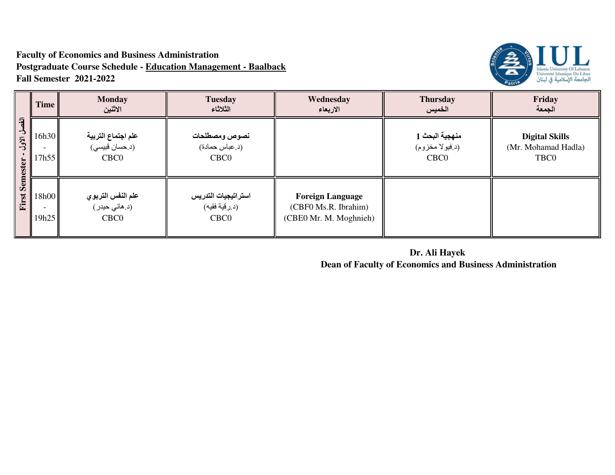# **Faculty of Economics and Business Administration Postgraduate Course Schedule - Education Management - BaalbackFall Semester 2021-2022**



|                                                                  | Time           | <b>Monday</b><br>الاثنين                                 | <b>Tuesday</b><br>الثلاثاء                               | Wednesday<br>الاربعاء                                                     | <b>Thursday</b><br>الخميس                             | Friday<br>الجمعة                                     |
|------------------------------------------------------------------|----------------|----------------------------------------------------------|----------------------------------------------------------|---------------------------------------------------------------------------|-------------------------------------------------------|------------------------------------------------------|
| $\overline{a}$<br>$\mathbf{\dot{5}}$<br>ألأول<br><b>Semester</b> | 16h30<br>17h55 | علم اجتماع التربية<br>(د.حسان فبيسى)<br>CBC <sub>0</sub> | نصوص ومصطلحات<br>(د.عباس حمادة)<br>CBC <sub>0</sub>      |                                                                           | منهجية البحث 1<br>(د فيولا مخزوم)<br>CBC <sub>0</sub> | <b>Digital Skills</b><br>(Mr. Mohamad Hadla)<br>TBC0 |
| First                                                            | 18h00<br>19h25 | علم النفس التربوي<br>(د.هانی حیدر)<br>CBC <sub>0</sub>   | استراتيجيات التدريس<br>(د.رقية فقيه)<br>CBC <sub>0</sub> | <b>Foreign Language</b><br>(CBF0 Ms.R. Ibrahim)<br>(CBE0 Mr. M. Moghnieh) |                                                       |                                                      |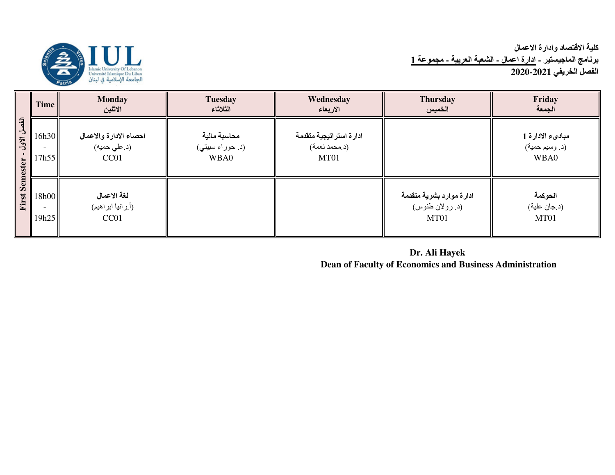

# كلية الاقتصاد وادارة الاع*م*ال <mark>برنامج الماجيستير - ادارة اعمال ـ الشعبة العربية ـ مجموعة 1</mark> الفصل الخريف*ي* 2020-2021

|                                                | <b>Time</b>                | <b>Monday</b><br>الاثنين                                   | <b>Tuesday</b><br>الثلاثاء               | Wednesday<br>الاربعاء                            | <b>Thursday</b><br>الخميس                           | Friday<br>الجمعة                           |
|------------------------------------------------|----------------------------|------------------------------------------------------------|------------------------------------------|--------------------------------------------------|-----------------------------------------------------|--------------------------------------------|
| 刁<br>$\mathcal{F}$<br>الأول<br><b>Semester</b> | 16h30<br>17h55             | احصاء الادارة والاعمال<br>(د.علی حمیه)<br>CC <sub>01</sub> | محاسبة مالية<br>(د. حوراء سبيتي)<br>WBA0 | ادارة استراتيجية متقدمة<br>(د.محمد نعمة)<br>MT01 |                                                     | مبادىء الادارة 1<br>(د. وسيم حمية)<br>WBA0 |
| First                                          | 18h00<br><b>.</b><br>19h25 | لغة الاعمال<br>(أ.رانيا ابراهيم)<br>CC <sub>01</sub>       |                                          |                                                  | ادارة موارد بشرية متقدمة<br>(د. رولان طنوس)<br>MT01 | الحوكمة<br>(د.جان علية)<br>MT01            |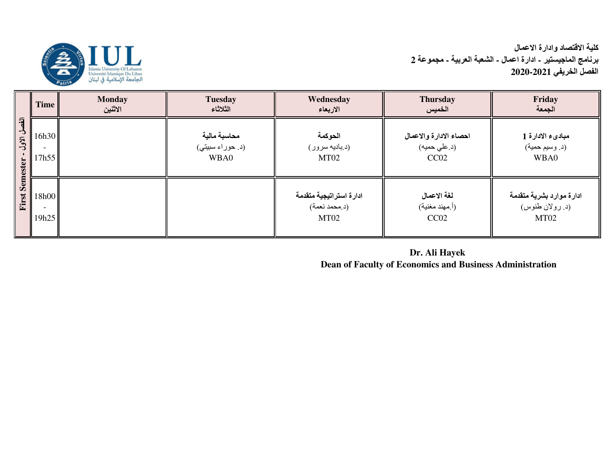

# كلية الاقتصاد وادارة الاع*م*ال برنامج الماجيستير - ادارة اعمال - الشعبة العربية - مجموعة 2 **ا ا!&7 2020-2021**

|                                               | <b>Time</b>          | <b>Monday</b><br>الاثنين | <b>Tuesday</b><br>الثلاثاء               | Wednesday<br>الاربعاء                            | <b>Thursday</b><br>الخميس                      | Friday<br>الجمعة                                    |
|-----------------------------------------------|----------------------|--------------------------|------------------------------------------|--------------------------------------------------|------------------------------------------------|-----------------------------------------------------|
| 刁<br>$\mathbf{A}$<br>ألأول<br><b>Semester</b> | 16h30<br>17h55       |                          | محاسبة مالية<br>(د. حوراء سبيتي)<br>WBA0 | الحوكمة<br>(د.بادیه سرور)<br>MT <sub>02</sub>    | احصاء الادارة والاعمال<br>(د.علی حمیه)<br>CC02 | مبادىء الادارة 1<br>(د. وسيم حمية)<br>WBA0          |
| First                                         | 18h00<br>۰.<br>19h25 |                          |                                          | ادارة استراتيجية متقدمة<br>(د.محمد نعمة)<br>MT02 | لغة الاعمال<br>(أ مهند مغنية)<br>CC02          | ادارة موارد بشرية متقدمة<br>(د. رولان طنوس)<br>MT02 |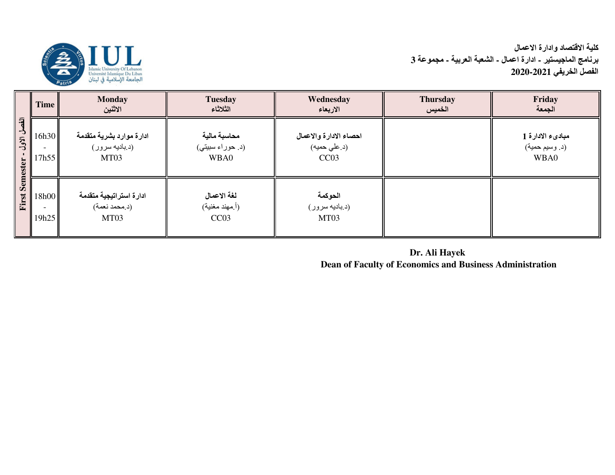

|                                                             | Time           | <b>Monday</b><br>الاثنين                           | <b>Tuesday</b><br>الثلاثاء                        | Wednesday<br>الاربعاء                          | <b>Thursday</b><br>الخميس | Friday<br>الجمعة                           |
|-------------------------------------------------------------|----------------|----------------------------------------------------|---------------------------------------------------|------------------------------------------------|---------------------------|--------------------------------------------|
| $\overline{a}$<br>$\rightarrow$<br>ألأول<br><b>Semester</b> | 16h30<br>17h55 | ادارة موارد بشرية متقدمة<br>(د.بادیه سرور)<br>MT03 | محاسبة مالية<br>(د. حوراء سبيتي)<br>WBA0          | احصاء الادارة والاعمال<br>(د.علی حمیه)<br>CC03 |                           | مبادىء الادارة 1<br>(د. وسيم حمية)<br>WBA0 |
| First                                                       | 18h00<br>19h25 | ادارة استراتيجية متقدمة<br>(د.محمد نعمة)<br>MT03   | لغة الاعمال<br>(أ.مهند مغنية)<br>CC <sub>03</sub> | الحوكمة<br>(د.بادیه سرور)<br>MT03              |                           |                                            |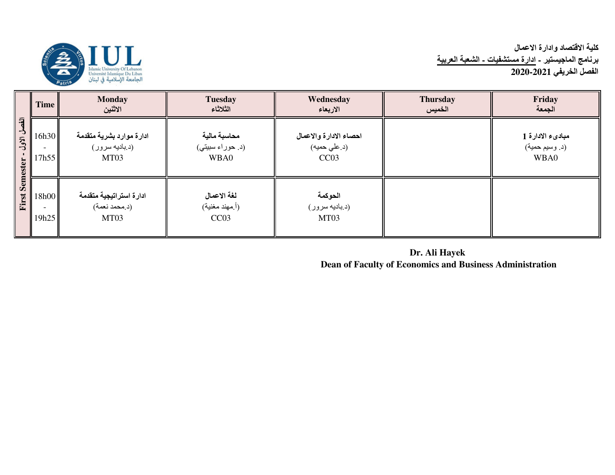

# كلية الاقتصاد وادارة الاعمال<br>برنامج الماجيستير - ا<u>دارة مستشفيات - الشعبة العربية</u><br>الفصل الخريفي 2021-2020

|                                                             | <b>Time</b>    | <b>Monday</b><br>الاثنين                           | <b>Tuesday</b><br>الثلاثاء               | Wednesday<br>الاربعاء                          | <b>Thursday</b><br>الخميس | Friday<br>الجمعة                           |
|-------------------------------------------------------------|----------------|----------------------------------------------------|------------------------------------------|------------------------------------------------|---------------------------|--------------------------------------------|
| $\overline{a}$<br>$\rightarrow$<br>الأول<br><b>Semester</b> | 16h30<br>7h55  | ادارة موارد بشرية متقدمة<br>(د بادیه سرور)<br>MT03 | محاسبة مالية<br>(د. حوراء سبيتي)<br>WBA0 | احصاء الادارة والاعمال<br>(د.علی حمیه)<br>CC03 |                           | مبادىء الادارة 1<br>(د. وسيم حمية)<br>WBA0 |
| First                                                       | 18h00<br>19h25 | ادارة استراتيجية متقدمة<br>(د.محمد نعمة)<br>MT03   | لغة الاعمال<br>(أ.مهند مغنية)<br>CC03    | الحوكمة<br>(د.بادیه سرور)<br>MT03              |                           |                                            |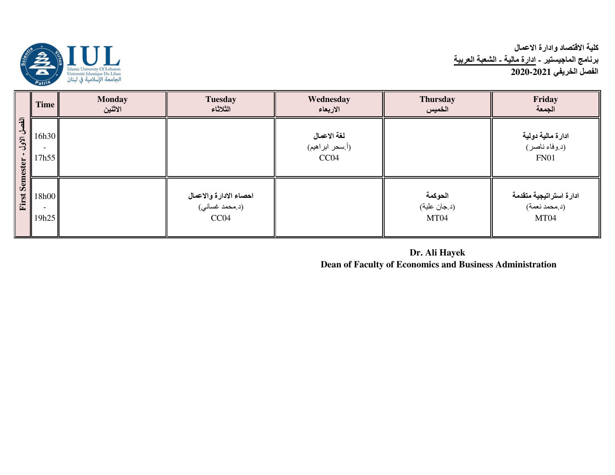

# كلية الاقتصاد وادارة الاعمال<br>برنامج الماجيستير - ا<u>دارة مالية - الشعبة العربية</u><br>الفصل الخريفي 2021-2020

|                                                     | Time           | <b>Monday</b><br>الاثنين | <b>Tuesday</b><br>الثلاثاء                                | Wednesday<br>الاربعاء                  | <b>Thursday</b><br>الخميس       | Friday<br>الجمعة                                  |
|-----------------------------------------------------|----------------|--------------------------|-----------------------------------------------------------|----------------------------------------|---------------------------------|---------------------------------------------------|
| $\overline{a}$<br>$\mathbf{r}$<br>ألأول<br>Semester | 16h30<br>17h55 |                          |                                                           | لغة الاعمال<br>(أ.سحر ابراهيم)<br>CC04 |                                 | ادارة مالية دولية<br>(د.وفاء ناصر)<br><b>FN01</b> |
| First                                               | 18h00<br>19h25 |                          | ا <b>حصاء الادار ة والاعمال</b><br>(د.محمد غساني)<br>CC04 |                                        | الحوكمة<br>(د.جان علية)<br>MT04 | ادارة استراتيجية متقدمة<br>(د.محمد نعمة)<br>MT04  |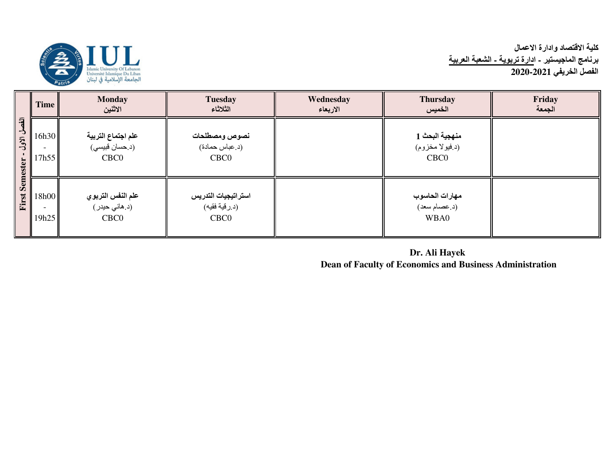

|                                     | <b>Time</b>    | <b>Monday</b><br>الاثنين                                 | <b>Tuesday</b><br>الثلاثاء                               | Wednesday<br>الاربعاء | <b>Thursday</b><br>الخميس                             | Friday<br>الجمعة |
|-------------------------------------|----------------|----------------------------------------------------------|----------------------------------------------------------|-----------------------|-------------------------------------------------------|------------------|
| 刁<br>L,<br>ألأول<br><b>Semester</b> | 16h30<br>17h55 | علم اجتماع التربية<br>(د.حسان فبيسي)<br>CBC <sub>0</sub> | نصوص ومصطلحات<br>(د.عباس حمادة)<br>CBC <sub>0</sub>      |                       | منهجية البحث 1<br>(د فيولا مخزوم)<br>CBC <sub>0</sub> |                  |
| First                               | 18h00<br>19h25 | علم النفس التربوي<br>(د.هاني حيدر)<br>CBC <sub>0</sub>   | استراتيجيات التدريس<br>(د.رقية فقيه)<br>CBC <sub>0</sub> |                       | مهارات الحاسوب<br>(د. عصام سعد)<br>WBA0               |                  |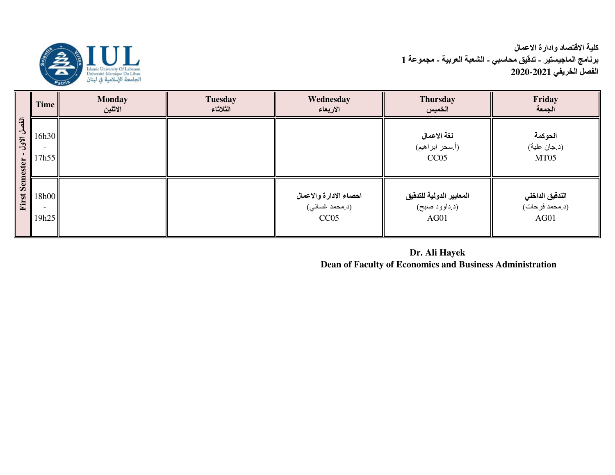كلية الاقتصاد وادارة الاع*م*ال **برنـامج المـاجيستير ـ تدقيق محاسبي ـ الشعبة العربية ـ مجموعة 1 ا ا!&7 2020-2021**



|                                                               | <b>Time</b>    | <b>Monday</b><br>الاثنين | <b>Tuesday</b><br>الثلاثاء | Wednesday<br>الاربعاء                            | <b>Thursday</b><br>الخميس                         | Friday<br>الجمعة                          |
|---------------------------------------------------------------|----------------|--------------------------|----------------------------|--------------------------------------------------|---------------------------------------------------|-------------------------------------------|
| $\overline{a}$<br>$\rightarrow$<br>الاول<br>Semester<br>First | 16h30<br>17h55 |                          |                            |                                                  | لغة الاعمال<br>(أ.سحر ابراهيم)<br>CC05            | الحوكمة<br>(د.جان علية)<br>MT05           |
|                                                               | 18h00<br>19h25 |                          |                            | احصاء الادارة والاعمال<br>(د.محمد غسانی)<br>CC05 | المعايير الدولية للتدقيق<br>(د داوود صبح)<br>AG01 | التدقيق الداخلي<br>(د.محمد فرحات)<br>AG01 |